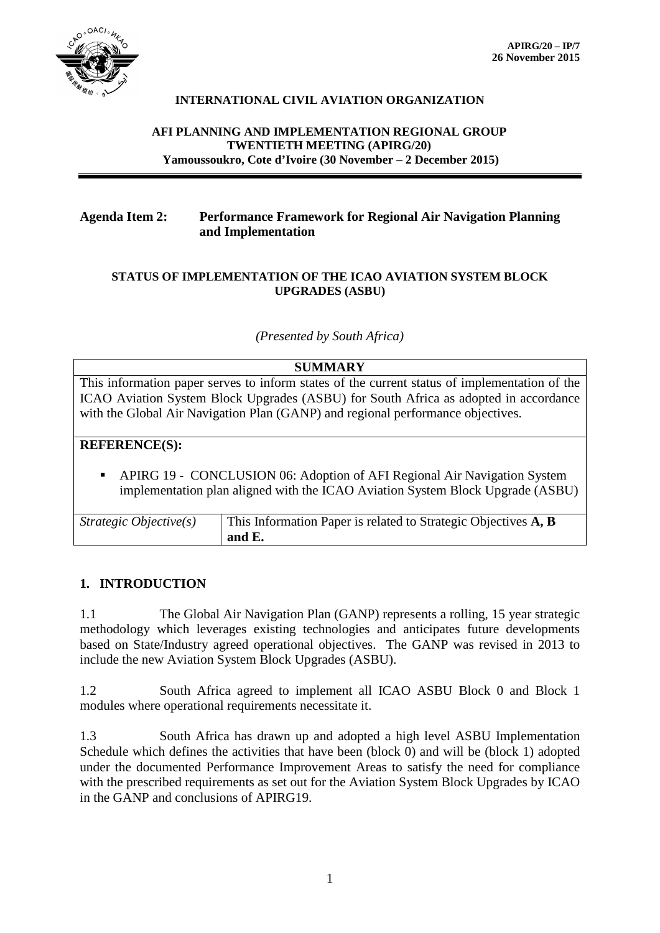

### **INTERNATIONAL CIVIL AVIATION ORGANIZATION**

#### **AFI PLANNING AND IMPLEMENTATION REGIONAL GROUP TWENTIETH MEETING (APIRG/20) Yamoussoukro, Cote d'Ivoire (30 November – 2 December 2015)**

## **Agenda Item 2: Performance Framework for Regional Air Navigation Planning and Implementation**

#### **STATUS OF IMPLEMENTATION OF THE ICAO AVIATION SYSTEM BLOCK UPGRADES (ASBU)**

*(Presented by South Africa)*

#### **SUMMARY**

This information paper serves to inform states of the current status of implementation of the ICAO Aviation System Block Upgrades (ASBU) for South Africa as adopted in accordance with the Global Air Navigation Plan (GANP) and regional performance objectives.

#### **REFERENCE(S):**

 APIRG 19 - CONCLUSION 06: Adoption of AFI Regional Air Navigation System implementation plan aligned with the ICAO Aviation System Block Upgrade (ASBU)

| Strategic Objective $(s)$ | $\parallel$ This Information Paper is related to Strategic Objectives $\bf{A}, \bf{B}$ |
|---------------------------|----------------------------------------------------------------------------------------|
|                           | and $E$ .                                                                              |

#### **1. INTRODUCTION**

1.1 The Global Air Navigation Plan (GANP) represents a rolling, 15 year strategic methodology which leverages existing technologies and anticipates future developments based on State/Industry agreed operational objectives. The GANP was revised in 2013 to include the new Aviation System Block Upgrades (ASBU).

1.2 South Africa agreed to implement all ICAO ASBU Block 0 and Block 1 modules where operational requirements necessitate it.

1.3 South Africa has drawn up and adopted a high level ASBU Implementation Schedule which defines the activities that have been (block 0) and will be (block 1) adopted under the documented Performance Improvement Areas to satisfy the need for compliance with the prescribed requirements as set out for the Aviation System Block Upgrades by ICAO in the GANP and conclusions of APIRG19.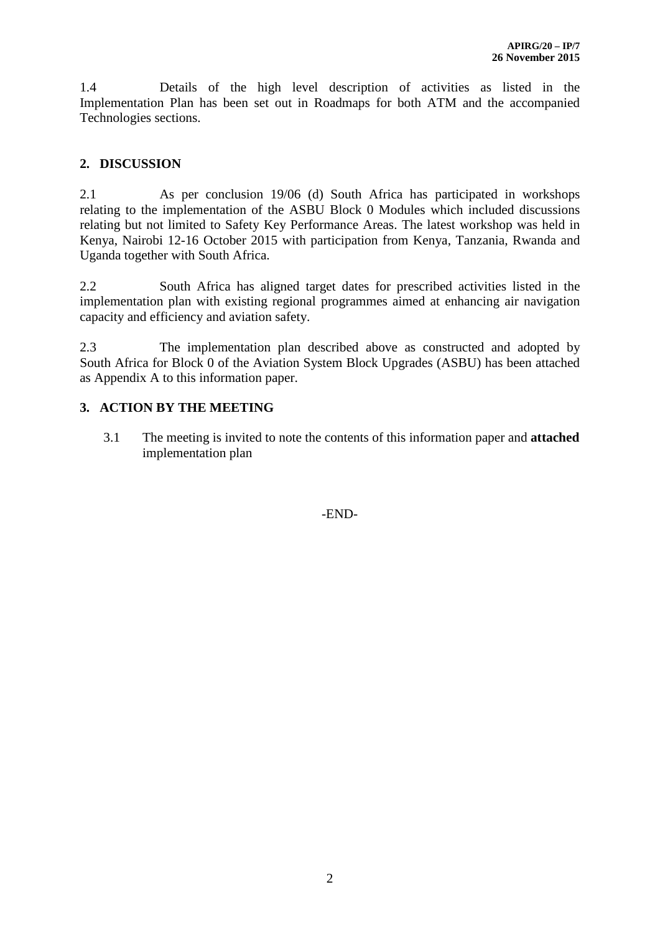1.4 Details of the high level description of activities as listed in the Implementation Plan has been set out in Roadmaps for both ATM and the accompanied Technologies sections.

# **2. DISCUSSION**

2.1 As per conclusion 19/06 (d) South Africa has participated in workshops relating to the implementation of the ASBU Block 0 Modules which included discussions relating but not limited to Safety Key Performance Areas. The latest workshop was held in Kenya, Nairobi 12-16 October 2015 with participation from Kenya, Tanzania, Rwanda and Uganda together with South Africa.

2.2 South Africa has aligned target dates for prescribed activities listed in the implementation plan with existing regional programmes aimed at enhancing air navigation capacity and efficiency and aviation safety.

2.3 The implementation plan described above as constructed and adopted by South Africa for Block 0 of the Aviation System Block Upgrades (ASBU) has been attached as Appendix A to this information paper.

## **3. ACTION BY THE MEETING**

3.1 The meeting is invited to note the contents of this information paper and **attached**  implementation plan

-END-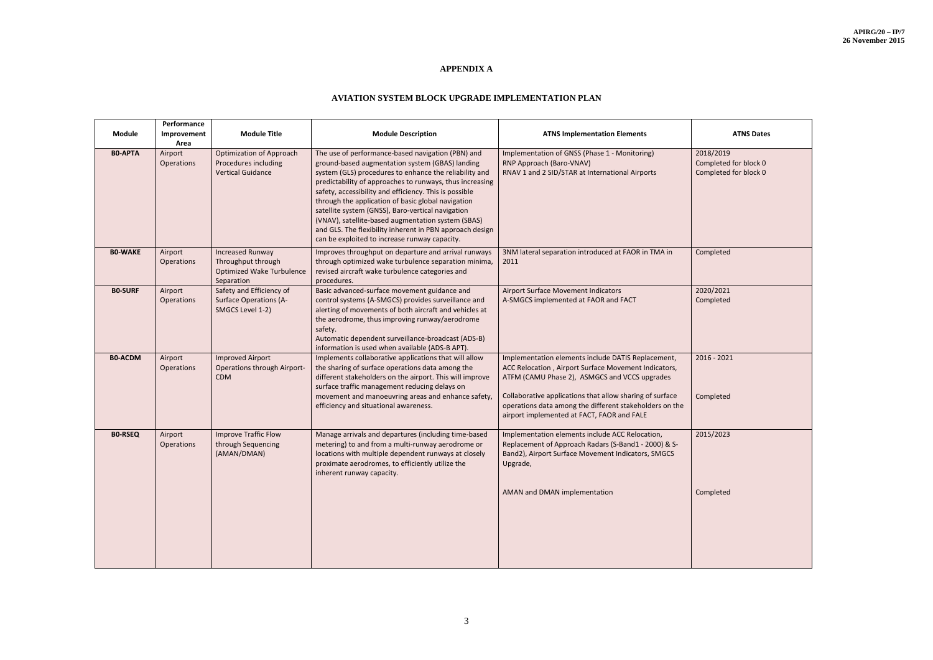# **APPENDIX A**

# **AVIATION SYSTEM BLOCK UPGRADE IMPLEMENTATION PLAN**

| <b>Module</b>  | Performance<br>Improvement<br>Area | <b>Module Title</b>                                                                             | <b>Module Description</b>                                                                                                                                                                                                                                                                                                                                                                                                                                                                                                                                          | <b>ATNS Implementation Elements</b>                                                                                                                                                                                                                                                                                              | <b>ATNS Dates</b>                                           |
|----------------|------------------------------------|-------------------------------------------------------------------------------------------------|--------------------------------------------------------------------------------------------------------------------------------------------------------------------------------------------------------------------------------------------------------------------------------------------------------------------------------------------------------------------------------------------------------------------------------------------------------------------------------------------------------------------------------------------------------------------|----------------------------------------------------------------------------------------------------------------------------------------------------------------------------------------------------------------------------------------------------------------------------------------------------------------------------------|-------------------------------------------------------------|
| <b>BO-APTA</b> | Airport<br>Operations              | <b>Optimization of Approach</b><br>Procedures including<br><b>Vertical Guidance</b>             | The use of performance-based navigation (PBN) and<br>ground-based augmentation system (GBAS) landing<br>system (GLS) procedures to enhance the reliability and<br>predictability of approaches to runways, thus increasing<br>safety, accessibility and efficiency. This is possible<br>through the application of basic global navigation<br>satellite system (GNSS), Baro-vertical navigation<br>(VNAV), satellite-based augmentation system (SBAS)<br>and GLS. The flexibility inherent in PBN approach design<br>can be exploited to increase runway capacity. | Implementation of GNSS (Phase 1 - Monitoring)<br>RNP Approach (Baro-VNAV)<br>RNAV 1 and 2 SID/STAR at International Airports                                                                                                                                                                                                     | 2018/2019<br>Completed for block 0<br>Completed for block 0 |
| <b>BO-WAKE</b> | Airport<br>Operations              | <b>Increased Runway</b><br>Throughput through<br><b>Optimized Wake Turbulence</b><br>Separation | Improves throughput on departure and arrival runways<br>through optimized wake turbulence separation minima,<br>revised aircraft wake turbulence categories and<br>procedures.                                                                                                                                                                                                                                                                                                                                                                                     | 3NM lateral separation introduced at FAOR in TMA in<br>2011                                                                                                                                                                                                                                                                      | Completed                                                   |
| <b>BO-SURF</b> | Airport<br>Operations              | Safety and Efficiency of<br><b>Surface Operations (A-</b><br>SMGCS Level 1-2)                   | Basic advanced-surface movement guidance and<br>control systems (A-SMGCS) provides surveillance and<br>alerting of movements of both aircraft and vehicles at<br>the aerodrome, thus improving runway/aerodrome<br>safety.<br>Automatic dependent surveillance-broadcast (ADS-B)<br>information is used when available (ADS-B APT).                                                                                                                                                                                                                                | <b>Airport Surface Movement Indicators</b><br>A-SMGCS implemented at FAOR and FACT                                                                                                                                                                                                                                               | 2020/2021<br>Completed                                      |
| <b>BO-ACDM</b> | Airport<br>Operations              | <b>Improved Airport</b><br><b>Operations through Airport-</b><br><b>CDM</b>                     | Implements collaborative applications that will allow<br>the sharing of surface operations data among the<br>different stakeholders on the airport. This will improve<br>surface traffic management reducing delays on<br>movement and manoeuvring areas and enhance safety,<br>efficiency and situational awareness.                                                                                                                                                                                                                                              | Implementation elements include DATIS Replacement,<br>ACC Relocation, Airport Surface Movement Indicators,<br>ATFM (CAMU Phase 2), ASMGCS and VCCS upgrades<br>Collaborative applications that allow sharing of surface<br>operations data among the different stakeholders on the<br>airport implemented at FACT, FAOR and FALE | $2016 - 2021$<br>Completed                                  |
| <b>BO-RSEQ</b> | Airport<br>Operations              | <b>Improve Traffic Flow</b><br>through Sequencing<br>(AMAN/DMAN)                                | Manage arrivals and departures (including time-based<br>metering) to and from a multi-runway aerodrome or<br>locations with multiple dependent runways at closely<br>proximate aerodromes, to efficiently utilize the<br>inherent runway capacity.                                                                                                                                                                                                                                                                                                                 | Implementation elements include ACC Relocation,<br>Replacement of Approach Radars (S-Band1 - 2000) & S-<br>Band2), Airport Surface Movement Indicators, SMGCS<br>Upgrade,                                                                                                                                                        | 2015/2023                                                   |
|                |                                    |                                                                                                 |                                                                                                                                                                                                                                                                                                                                                                                                                                                                                                                                                                    | AMAN and DMAN implementation                                                                                                                                                                                                                                                                                                     | Completed                                                   |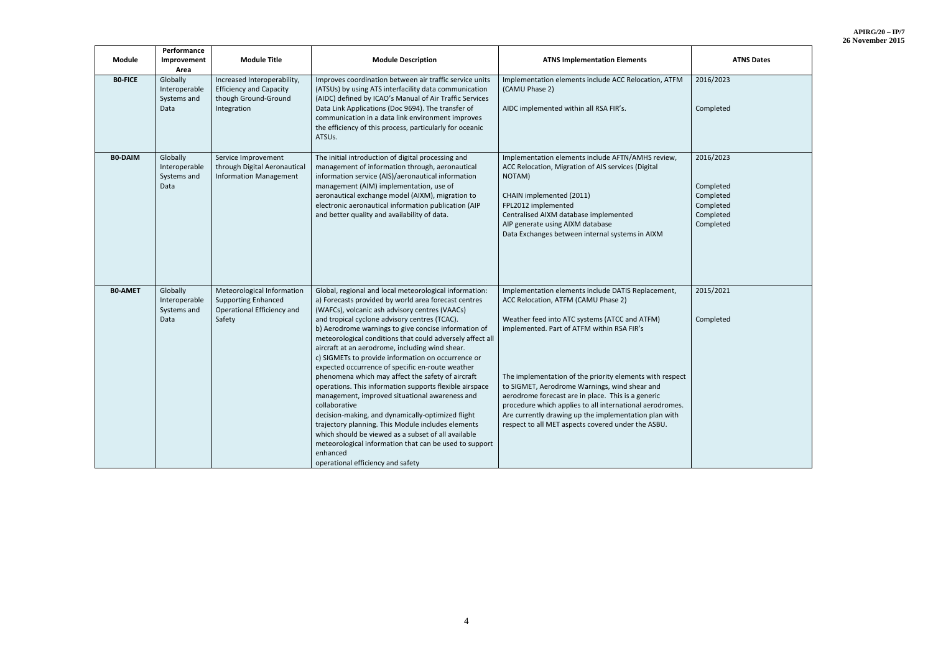| <b>Module</b>  | Performance<br>Improvement<br>Area               | <b>Module Title</b>                                                                                  | <b>Module Description</b>                                                                                                                                                                                                                                                                                                                                                                                                                                                                                                                                                                                                                                                                                                                                                                                                                                                                                                                                           | <b>ATNS Implementation Elements</b>                                                                                                                                                                                                                                                                                                                                                                                                                                                                                                    | <b>ATNS Dates</b>                                                          |
|----------------|--------------------------------------------------|------------------------------------------------------------------------------------------------------|---------------------------------------------------------------------------------------------------------------------------------------------------------------------------------------------------------------------------------------------------------------------------------------------------------------------------------------------------------------------------------------------------------------------------------------------------------------------------------------------------------------------------------------------------------------------------------------------------------------------------------------------------------------------------------------------------------------------------------------------------------------------------------------------------------------------------------------------------------------------------------------------------------------------------------------------------------------------|----------------------------------------------------------------------------------------------------------------------------------------------------------------------------------------------------------------------------------------------------------------------------------------------------------------------------------------------------------------------------------------------------------------------------------------------------------------------------------------------------------------------------------------|----------------------------------------------------------------------------|
| <b>BO-FICE</b> | Globally<br>Interoperable<br>Systems and<br>Data | Increased Interoperability,<br><b>Efficiency and Capacity</b><br>though Ground-Ground<br>Integration | Improves coordination between air traffic service units<br>(ATSUs) by using ATS interfacility data communication<br>(AIDC) defined by ICAO's Manual of Air Traffic Services<br>Data Link Applications (Doc 9694). The transfer of<br>communication in a data link environment improves<br>the efficiency of this process, particularly for oceanic<br>ATSU <sub>s</sub> .                                                                                                                                                                                                                                                                                                                                                                                                                                                                                                                                                                                           | Implementation elements include ACC Relocation, ATFM<br>(CAMU Phase 2)<br>AIDC implemented within all RSA FIR's.                                                                                                                                                                                                                                                                                                                                                                                                                       | 2016/2023<br>Completed                                                     |
| <b>BO-DAIM</b> | Globally<br>Interoperable<br>Systems and<br>Data | Service Improvement<br>through Digital Aeronautical<br><b>Information Management</b>                 | The initial introduction of digital processing and<br>management of information through, aeronautical<br>information service (AIS)/aeronautical information<br>management (AIM) implementation, use of<br>aeronautical exchange model (AIXM), migration to<br>electronic aeronautical information publication (AIP<br>and better quality and availability of data.                                                                                                                                                                                                                                                                                                                                                                                                                                                                                                                                                                                                  | Implementation elements include AFTN/AMHS review,<br>ACC Relocation, Migration of AIS services (Digital<br>NOTAM)<br>CHAIN implemented (2011)<br>FPL2012 implemented<br>Centralised AIXM database implemented<br>AIP generate using AIXM database<br>Data Exchanges between internal systems in AIXM                                                                                                                                                                                                                                   | 2016/2023<br>Completed<br>Completed<br>Completed<br>Completed<br>Completed |
| <b>BO-AMET</b> | Globally<br>Interoperable<br>Systems and<br>Data | Meteorological Information<br><b>Supporting Enhanced</b><br>Operational Efficiency and<br>Safety     | Global, regional and local meteorological information:<br>a) Forecasts provided by world area forecast centres<br>(WAFCs), volcanic ash advisory centres (VAACs)<br>and tropical cyclone advisory centres (TCAC).<br>b) Aerodrome warnings to give concise information of<br>meteorological conditions that could adversely affect all<br>aircraft at an aerodrome, including wind shear.<br>c) SIGMETs to provide information on occurrence or<br>expected occurrence of specific en-route weather<br>phenomena which may affect the safety of aircraft<br>operations. This information supports flexible airspace<br>management, improved situational awareness and<br>collaborative<br>decision-making, and dynamically-optimized flight<br>trajectory planning. This Module includes elements<br>which should be viewed as a subset of all available<br>meteorological information that can be used to support<br>enhanced<br>operational efficiency and safety | Implementation elements include DATIS Replacement,<br>ACC Relocation, ATFM (CAMU Phase 2)<br>Weather feed into ATC systems (ATCC and ATFM)<br>implemented. Part of ATFM within RSA FIR's<br>The implementation of the priority elements with respect<br>to SIGMET, Aerodrome Warnings, wind shear and<br>aerodrome forecast are in place. This is a generic<br>procedure which applies to all international aerodromes.<br>Are currently drawing up the implementation plan with<br>respect to all MET aspects covered under the ASBU. | 2015/2021<br>Completed                                                     |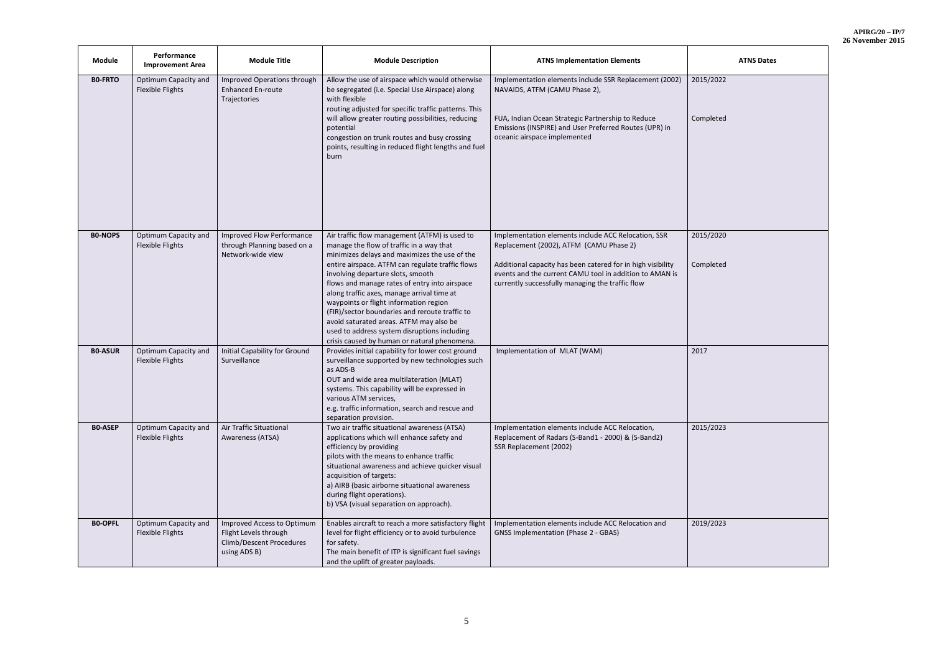| $APIRG/20 - IP/7$ |  |
|-------------------|--|
| 26 November 2015  |  |

| <b>Module</b>  | Performance<br><b>Improvement Area</b>          | <b>Module Title</b>                                                                                    | <b>Module Description</b>                                                                                                                                                                                                                                                                                                                                                                                                                                                                                                                                                 | <b>ATNS Implementation Elements</b>                                                                                                                                                                                                                                          | <b>ATNS Dates</b>      |
|----------------|-------------------------------------------------|--------------------------------------------------------------------------------------------------------|---------------------------------------------------------------------------------------------------------------------------------------------------------------------------------------------------------------------------------------------------------------------------------------------------------------------------------------------------------------------------------------------------------------------------------------------------------------------------------------------------------------------------------------------------------------------------|------------------------------------------------------------------------------------------------------------------------------------------------------------------------------------------------------------------------------------------------------------------------------|------------------------|
| <b>BO-FRTO</b> | Optimum Capacity and<br>Flexible Flights        | Improved Operations through<br><b>Enhanced En-route</b><br>Trajectories                                | Allow the use of airspace which would otherwise<br>be segregated (i.e. Special Use Airspace) along<br>with flexible<br>routing adjusted for specific traffic patterns. This<br>will allow greater routing possibilities, reducing<br>potential<br>congestion on trunk routes and busy crossing<br>points, resulting in reduced flight lengths and fuel<br>burn                                                                                                                                                                                                            | Implementation elements include SSR Replacement (2002)<br>NAVAIDS, ATFM (CAMU Phase 2),<br>FUA, Indian Ocean Strategic Partnership to Reduce<br>Emissions (INSPIRE) and User Preferred Routes (UPR) in<br>oceanic airspace implemented                                       | 2015/2022<br>Completed |
| <b>BO-NOPS</b> | Optimum Capacity and<br>Flexible Flights        | <b>Improved Flow Performance</b><br>through Planning based on a<br>Network-wide view                   | Air traffic flow management (ATFM) is used to<br>manage the flow of traffic in a way that<br>minimizes delays and maximizes the use of the<br>entire airspace. ATFM can regulate traffic flows<br>involving departure slots, smooth<br>flows and manage rates of entry into airspace<br>along traffic axes, manage arrival time at<br>waypoints or flight information region<br>(FIR)/sector boundaries and reroute traffic to<br>avoid saturated areas. ATFM may also be<br>used to address system disruptions including<br>crisis caused by human or natural phenomena. | Implementation elements include ACC Relocation, SSR<br>Replacement (2002), ATFM (CAMU Phase 2)<br>Additional capacity has been catered for in high visibility<br>events and the current CAMU tool in addition to AMAN is<br>currently successfully managing the traffic flow | 2015/2020<br>Completed |
| <b>BO-ASUR</b> | Optimum Capacity and<br>Flexible Flights        | Initial Capability for Ground<br>Surveillance                                                          | Provides initial capability for lower cost ground<br>surveillance supported by new technologies such<br>as ADS-B<br>OUT and wide area multilateration (MLAT)<br>systems. This capability will be expressed in<br>various ATM services,<br>e.g. traffic information, search and rescue and<br>separation provision.                                                                                                                                                                                                                                                        | Implementation of MLAT (WAM)                                                                                                                                                                                                                                                 | 2017                   |
| <b>BO-ASEP</b> | Optimum Capacity and<br><b>Flexible Flights</b> | Air Traffic Situational<br>Awareness (ATSA)                                                            | Two air traffic situational awareness (ATSA)<br>applications which will enhance safety and<br>efficiency by providing<br>pilots with the means to enhance traffic<br>situational awareness and achieve quicker visual<br>acquisition of targets:<br>a) AIRB (basic airborne situational awareness<br>during flight operations).<br>b) VSA (visual separation on approach).                                                                                                                                                                                                | Implementation elements include ACC Relocation,<br>Replacement of Radars (S-Band1 - 2000) & (S-Band2)<br>SSR Replacement (2002)                                                                                                                                              | 2015/2023              |
| <b>BO-OPFL</b> | Optimum Capacity and<br>Flexible Flights        | Improved Access to Optimum<br>Flight Levels through<br><b>Climb/Descent Procedures</b><br>using ADS B) | Enables aircraft to reach a more satisfactory flight<br>level for flight efficiency or to avoid turbulence<br>for safety.<br>The main benefit of ITP is significant fuel savings<br>and the uplift of greater payloads.                                                                                                                                                                                                                                                                                                                                                   | Implementation elements include ACC Relocation and<br><b>GNSS Implementation (Phase 2 - GBAS)</b>                                                                                                                                                                            | 2019/2023              |